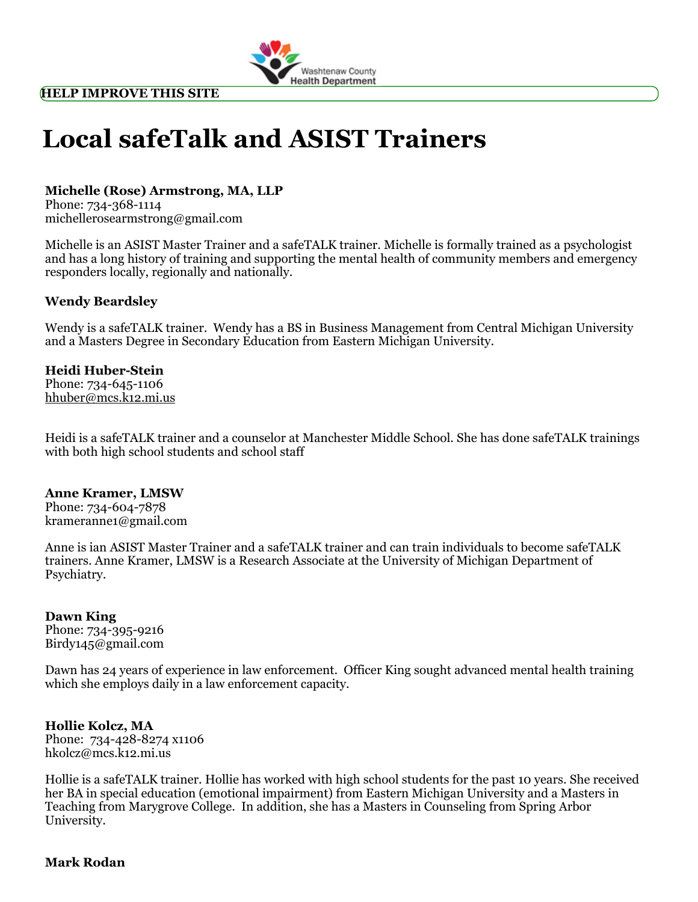

# Local safeTalk and ASIST Trainers

## Michelle (Rose) Armstrong, MA, LLP

Phone: 734-368-1114 [michellerosearmstrong@gmail.com](mailto:michellerosearmstrong@gmail.com)

Michelle is an ASIST Master Trainer and a safeTALK trainer. Michelle is formally trained as a psychologist and has a long history of training and supporting the mental health of community members and emergency responders locally, regionally and nationally.

#### Wendy Beardsley

Wendy is a safeTALK trainer. Wendy has a BS in Business Management from Central Michigan University and a Masters Degree in Secondary Education from Eastern Michigan University.

#### Heidi Huber-Stein

Phone: 734-645-1106 [hhuber@mcs.k12.mi.us](mailto:hhuber@mcs.k12.mi.us)

Heidi is a safeTALK trainer and a counselor at Manchester Middle School. She has done safeTALK trainings with both high school students and school staff

#### Anne Kramer, LMSW

Phone: 734-604-7878 [krameranne1@gmail.com](mailto:krameranne1@gmail.com)

Anne is ian ASIST Master Trainer and a safeTALK trainer and can train individuals to become safeTALK trainers. Anne Kramer, LMSW is a Research Associate at the University of Michigan Department of Psychiatry.

#### Dawn King

Phone: 734-395-9216 [Birdy145@gmail.com](mailto:Birdy145@gmail.com)

Dawn has 24 years of experience in law enforcement. Officer King sought advanced mental health training which she employs daily in a law enforcement capacity.

### Hollie Kolcz, MA

Phone: 734-428-8274 x1106 [hkolcz@mcs.k12.mi.us](mailto:hkolcz@mcs.k12.mi.us)

Hollie is a safeTALK trainer. Hollie has worked with high school students for the past 10 years. She received her BA in special education (emotional impairment) from Eastern Michigan University and a Masters in Teaching from Marygrove College. In addition, she has a Masters in Counseling from Spring Arbor University.

#### Mark Rodan